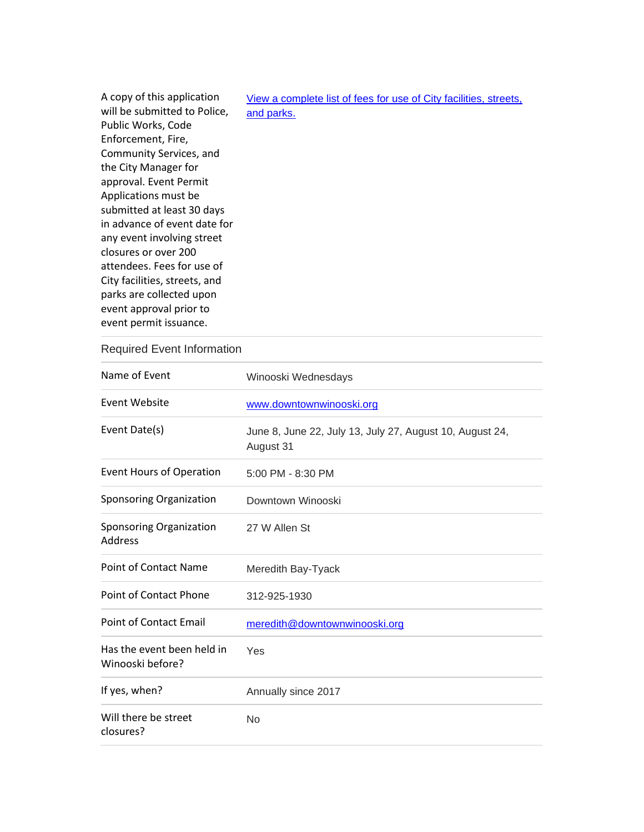| A copy of this application    | View a complete list of fees for use of City facilities, streets, |  |
|-------------------------------|-------------------------------------------------------------------|--|
| will be submitted to Police,  | and parks.                                                        |  |
| Public Works, Code            |                                                                   |  |
| Enforcement, Fire,            |                                                                   |  |
| Community Services, and       |                                                                   |  |
| the City Manager for          |                                                                   |  |
| approval. Event Permit        |                                                                   |  |
| Applications must be          |                                                                   |  |
| submitted at least 30 days    |                                                                   |  |
| in advance of event date for  |                                                                   |  |
| any event involving street    |                                                                   |  |
| closures or over 200          |                                                                   |  |
| attendees. Fees for use of    |                                                                   |  |
| City facilities, streets, and |                                                                   |  |
| parks are collected upon      |                                                                   |  |
| event approval prior to       |                                                                   |  |
| event permit issuance.        |                                                                   |  |

## Required Event Information

| Name of Event                                  | Winooski Wednesdays                                                   |
|------------------------------------------------|-----------------------------------------------------------------------|
| Event Website                                  | www.downtownwinooski.org                                              |
| Event Date(s)                                  | June 8, June 22, July 13, July 27, August 10, August 24,<br>August 31 |
| <b>Event Hours of Operation</b>                | 5:00 PM - 8:30 PM                                                     |
| Sponsoring Organization                        | Downtown Winooski                                                     |
| Sponsoring Organization<br><b>Address</b>      | 27 W Allen St                                                         |
| <b>Point of Contact Name</b>                   | Meredith Bay-Tyack                                                    |
| <b>Point of Contact Phone</b>                  | 312-925-1930                                                          |
| <b>Point of Contact Email</b>                  | meredith@downtownwinooski.org                                         |
| Has the event been held in<br>Winooski before? | Yes                                                                   |
| If yes, when?                                  | Annually since 2017                                                   |
| Will there be street<br>closures?              | <b>No</b>                                                             |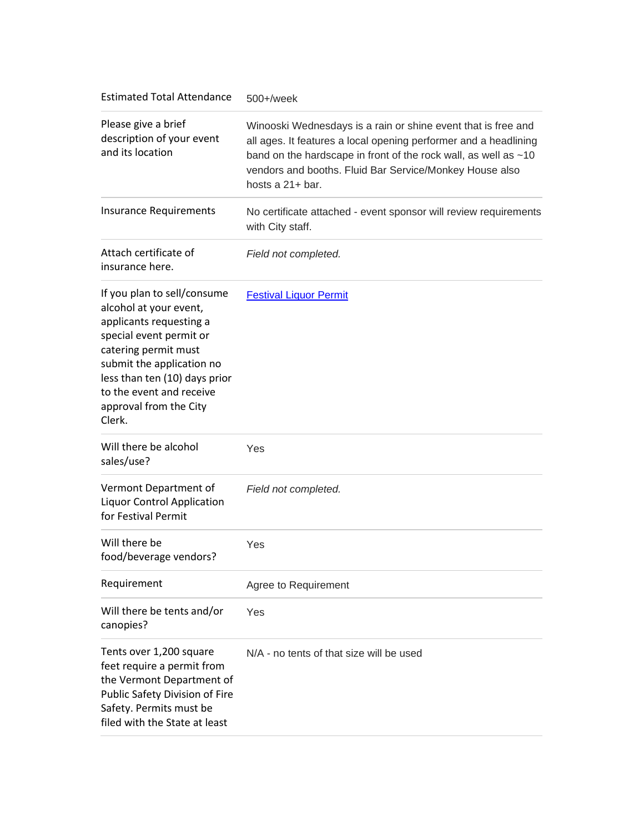| <b>Estimated Total Attendance</b>                                                                                                                                                                                                                                 | 500+/week                                                                                                                                                                                                                                                                           |
|-------------------------------------------------------------------------------------------------------------------------------------------------------------------------------------------------------------------------------------------------------------------|-------------------------------------------------------------------------------------------------------------------------------------------------------------------------------------------------------------------------------------------------------------------------------------|
| Please give a brief<br>description of your event<br>and its location                                                                                                                                                                                              | Winooski Wednesdays is a rain or shine event that is free and<br>all ages. It features a local opening performer and a headlining<br>band on the hardscape in front of the rock wall, as well as ~10<br>vendors and booths. Fluid Bar Service/Monkey House also<br>hosts a 21+ bar. |
| <b>Insurance Requirements</b>                                                                                                                                                                                                                                     | No certificate attached - event sponsor will review requirements<br>with City staff.                                                                                                                                                                                                |
| Attach certificate of<br>insurance here.                                                                                                                                                                                                                          | Field not completed.                                                                                                                                                                                                                                                                |
| If you plan to sell/consume<br>alcohol at your event,<br>applicants requesting a<br>special event permit or<br>catering permit must<br>submit the application no<br>less than ten (10) days prior<br>to the event and receive<br>approval from the City<br>Clerk. | <b>Festival Liquor Permit</b>                                                                                                                                                                                                                                                       |
| Will there be alcohol<br>sales/use?                                                                                                                                                                                                                               | Yes                                                                                                                                                                                                                                                                                 |
| Vermont Department of<br><b>Liquor Control Application</b><br>for Festival Permit                                                                                                                                                                                 | Field not completed.                                                                                                                                                                                                                                                                |
| Will there be<br>food/beverage vendors?                                                                                                                                                                                                                           | Yes                                                                                                                                                                                                                                                                                 |
| Requirement                                                                                                                                                                                                                                                       | Agree to Requirement                                                                                                                                                                                                                                                                |
| Will there be tents and/or<br>canopies?                                                                                                                                                                                                                           | Yes                                                                                                                                                                                                                                                                                 |
| Tents over 1,200 square<br>feet require a permit from<br>the Vermont Department of<br>Public Safety Division of Fire<br>Safety. Permits must be<br>filed with the State at least                                                                                  | N/A - no tents of that size will be used                                                                                                                                                                                                                                            |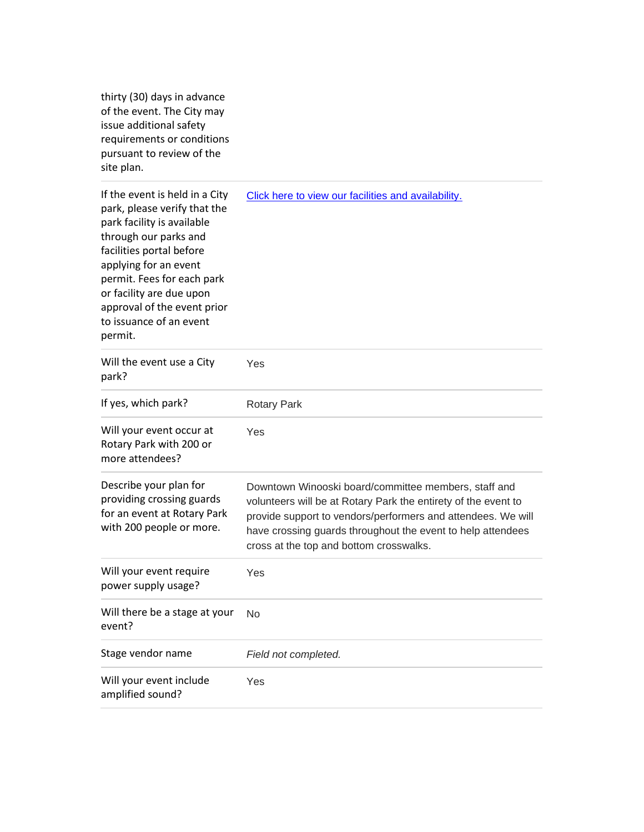thirty (30) days in advance of the event. The City may issue additional safety requirements or conditions pursuant to review of the site plan.

| If the event is held in a City<br>park, please verify that the<br>park facility is available<br>through our parks and<br>facilities portal before<br>applying for an event<br>permit. Fees for each park<br>or facility are due upon<br>approval of the event prior<br>to issuance of an event<br>permit. | Click here to view our facilities and availability.                                                                                                                                                                                                                                              |
|-----------------------------------------------------------------------------------------------------------------------------------------------------------------------------------------------------------------------------------------------------------------------------------------------------------|--------------------------------------------------------------------------------------------------------------------------------------------------------------------------------------------------------------------------------------------------------------------------------------------------|
| Will the event use a City<br>park?                                                                                                                                                                                                                                                                        | Yes                                                                                                                                                                                                                                                                                              |
| If yes, which park?                                                                                                                                                                                                                                                                                       | <b>Rotary Park</b>                                                                                                                                                                                                                                                                               |
| Will your event occur at<br>Rotary Park with 200 or<br>more attendees?                                                                                                                                                                                                                                    | Yes                                                                                                                                                                                                                                                                                              |
| Describe your plan for<br>providing crossing guards<br>for an event at Rotary Park<br>with 200 people or more.                                                                                                                                                                                            | Downtown Winooski board/committee members, staff and<br>volunteers will be at Rotary Park the entirety of the event to<br>provide support to vendors/performers and attendees. We will<br>have crossing guards throughout the event to help attendees<br>cross at the top and bottom crosswalks. |
| Will your event require<br>power supply usage?                                                                                                                                                                                                                                                            | Yes                                                                                                                                                                                                                                                                                              |
| Will there be a stage at your<br>event?                                                                                                                                                                                                                                                                   | No                                                                                                                                                                                                                                                                                               |
| Stage vendor name                                                                                                                                                                                                                                                                                         | Field not completed.                                                                                                                                                                                                                                                                             |
| Will your event include<br>amplified sound?                                                                                                                                                                                                                                                               | Yes                                                                                                                                                                                                                                                                                              |